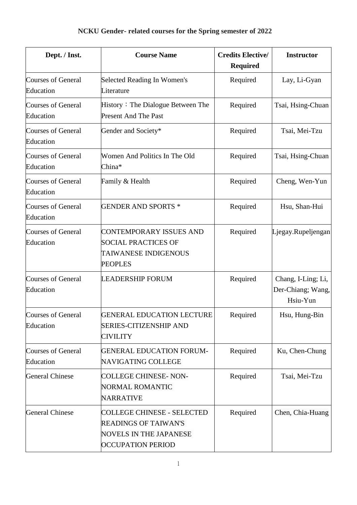| Dept. / Inst.                          | <b>Course Name</b>                                                                                                     | <b>Credits Elective/</b><br><b>Required</b> | <b>Instructor</b>                                   |
|----------------------------------------|------------------------------------------------------------------------------------------------------------------------|---------------------------------------------|-----------------------------------------------------|
| <b>Courses of General</b><br>Education | Selected Reading In Women's<br>Literature                                                                              | Required                                    | Lay, Li-Gyan                                        |
| <b>Courses of General</b><br>Education | History: The Dialogue Between The<br><b>Present And The Past</b>                                                       | Required                                    | Tsai, Hsing-Chuan                                   |
| <b>Courses of General</b><br>Education | Gender and Society*                                                                                                    | Required                                    | Tsai, Mei-Tzu                                       |
| <b>Courses of General</b><br>Education | Women And Politics In The Old<br>China*                                                                                | Required                                    | Tsai, Hsing-Chuan                                   |
| <b>Courses of General</b><br>Education | Family & Health                                                                                                        | Required                                    | Cheng, Wen-Yun                                      |
| <b>Courses of General</b><br>Education | <b>GENDER AND SPORTS *</b>                                                                                             | Required                                    | Hsu, Shan-Hui                                       |
| <b>Courses of General</b><br>Education | <b>CONTEMPORARY ISSUES AND</b><br><b>SOCIAL PRACTICES OF</b><br><b>TAIWANESE INDIGENOUS</b><br><b>PEOPLES</b>          | Required                                    | Ljegay.Rupeljengan                                  |
| <b>Courses of General</b><br>Education | <b>LEADERSHIP FORUM</b>                                                                                                | Required                                    | Chang, I-Ling; Li,<br>Der-Chiang; Wang,<br>Hsiu-Yun |
| <b>Courses of General</b><br>Education | <b>GENERAL EDUCATION LECTURE</b><br><b>SERIES-CITIZENSHIP AND</b><br><b>CIVILITY</b>                                   | Required                                    | Hsu, Hung-Bin                                       |
| <b>Courses of General</b><br>Education | <b>GENERAL EDUCATION FORUM-</b><br>NAVIGATING COLLEGE                                                                  | Required                                    | Ku, Chen-Chung                                      |
| <b>General Chinese</b>                 | <b>COLLEGE CHINESE-NON-</b><br>NORMAL ROMANTIC<br><b>NARRATIVE</b>                                                     | Required                                    | Tsai, Mei-Tzu                                       |
| <b>General Chinese</b>                 | COLLEGE CHINESE - SELECTED<br><b>READINGS OF TAIWAN'S</b><br><b>NOVELS IN THE JAPANESE</b><br><b>OCCUPATION PERIOD</b> | Required                                    | Chen, Chia-Huang                                    |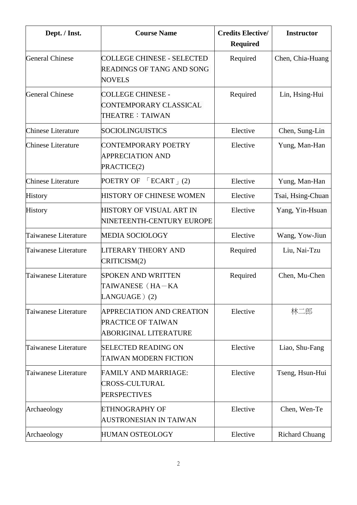| Dept. / Inst.             | <b>Course Name</b>                                                                     | <b>Credits Elective/</b><br><b>Required</b> | <b>Instructor</b>     |
|---------------------------|----------------------------------------------------------------------------------------|---------------------------------------------|-----------------------|
| <b>General Chinese</b>    | <b>COLLEGE CHINESE - SELECTED</b><br><b>READINGS OF TANG AND SONG</b><br><b>NOVELS</b> | Required                                    | Chen, Chia-Huang      |
| <b>General Chinese</b>    | <b>COLLEGE CHINESE -</b><br>CONTEMPORARY CLASSICAL<br>THEATRE: TAIWAN                  | Required                                    | Lin, Hsing-Hui        |
| <b>Chinese Literature</b> | SOCIOLINGUISTICS                                                                       | Elective                                    | Chen, Sung-Lin        |
| <b>Chinese Literature</b> | CONTEMPORARY POETRY<br><b>APPRECIATION AND</b><br>PRACTICE(2)                          | Elective                                    | Yung, Man-Han         |
| <b>Chinese Literature</b> | POETRY OF<br>$\Gamma$ ECART <sub>+</sub> (2)                                           | Elective                                    | Yung, Man-Han         |
| <b>History</b>            | HISTORY OF CHINESE WOMEN                                                               | Elective                                    | Tsai, Hsing-Chuan     |
| <b>History</b>            | HISTORY OF VISUAL ART IN<br>NINETEENTH-CENTURY EUROPE                                  | Elective                                    | Yang, Yin-Hsuan       |
| Taiwanese Literature      | <b>MEDIA SOCIOLOGY</b>                                                                 | Elective                                    | Wang, Yow-Jiun        |
| Taiwanese Literature      | LITERARY THEORY AND<br>CRITICISM(2)                                                    | Required                                    | Liu, Nai-Tzu          |
| Taiwanese Literature      | <b>SPOKEN AND WRITTEN</b><br>TAIWANESE (HA-KA<br>LANGUAGE) (2)                         | Required                                    | Chen, Mu-Chen         |
| Taiwanese Literature      | <b>APPRECIATION AND CREATION</b><br>PRACTICE OF TAIWAN<br><b>ABORIGINAL LITERATURE</b> | Elective                                    | 林二郎                   |
| Taiwanese Literature      | <b>SELECTED READING ON</b><br><b>TAIWAN MODERN FICTION</b>                             | Elective                                    | Liao, Shu-Fang        |
| Taiwanese Literature      | <b>FAMILY AND MARRIAGE:</b><br>CROSS-CULTURAL<br><b>PERSPECTIVES</b>                   | Elective                                    | Tseng, Hsun-Hui       |
| Archaeology               | ETHNOGRAPHY OF<br>AUSTRONESIAN IN TAIWAN                                               | Elective                                    | Chen, Wen-Te          |
| Archaeology               | <b>HUMAN OSTEOLOGY</b>                                                                 | Elective                                    | <b>Richard Chuang</b> |